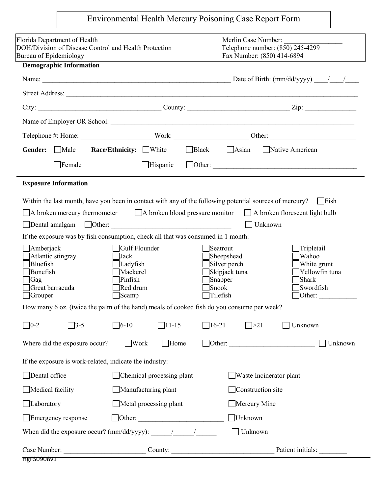| Florida Department of Health<br>Merlin Case Number:<br>Telephone number: (850) 245-4299<br>DOH/Division of Disease Control and Health Protection<br>Bureau of Epidemiology<br>Fax Number: (850) 414-6894<br><b>Demographic Information</b><br>City: $\_\_\_\_\_$ County: $\_\_\_\_\_$ County: $\_\_\_\_\_\_$ Zip: $\_\_\_\_\_\_$<br><b>Race/Ethnicity:</b> White <b>Black</b> Asian Native American<br>Gender: Male<br>$\Box$ Female<br><b>Exposure Information</b><br>Within the last month, have you been in contact with any of the following potential sources of mercury? $\Box$ Fish<br>$\Box$ A broken mercury thermometer $\Box$ A broken blood pressure monitor $\Box$ A broken florescent light bulb<br>Unknown<br>If the exposure was by fish consumption, check all that was consumed in 1 month:<br>Amberjack<br>Gulf Flounder<br>Tripletail<br>$\vert$ Seatrout<br>$\Box$ Sheepshead<br>Atlantic stingray<br> Wahoo<br>Jack<br><b>Bluefish</b><br>$\Box$ Silver perch<br>White grunt<br>Ladyfish<br>Bonefish<br>Mackerel<br>Skipjack tuna<br>Pinfish<br>Shark<br>Gag<br>Snapper<br>Great barracuda<br>Red drum<br><b>Snook</b><br>Swordfish<br>$\Box$ Tilefish<br>$\Box$ Scamp<br>$\Box$ Grouper<br>How many 6 oz. (twice the palm of the hand) meals of cooked fish do you consume per week?<br>$\Box$ 11-15<br>$\Box$ 16-21<br>$\Box$ 0-2<br>$\Box$ 6-10<br>Unknown<br>$\sqrt{3-5}$<br>$\Box$ >21<br>Work<br>Where did the exposure occur?<br>Home<br>Other:<br>If the exposure is work-related, indicate the industry:<br>Dental office<br>Chemical processing plant<br>Waste Incinerator plant<br>Construction site<br>Medical facility<br>Manufacturing plant<br>$\Box$ Laboratory<br>Metal processing plant<br>Mercury Mine<br>Unknown<br>$\Box$ Other: $\Box$<br>Emergency response | Environmental Health Mercury Poisoning Case Report Form |  |  |  |  |                                           |  |  |
|----------------------------------------------------------------------------------------------------------------------------------------------------------------------------------------------------------------------------------------------------------------------------------------------------------------------------------------------------------------------------------------------------------------------------------------------------------------------------------------------------------------------------------------------------------------------------------------------------------------------------------------------------------------------------------------------------------------------------------------------------------------------------------------------------------------------------------------------------------------------------------------------------------------------------------------------------------------------------------------------------------------------------------------------------------------------------------------------------------------------------------------------------------------------------------------------------------------------------------------------------------------------------------------------------------------------------------------------------------------------------------------------------------------------------------------------------------------------------------------------------------------------------------------------------------------------------------------------------------------------------------------------------------------------------------------------------------------------------------------------------------------------------------------------------------|---------------------------------------------------------|--|--|--|--|-------------------------------------------|--|--|
|                                                                                                                                                                                                                                                                                                                                                                                                                                                                                                                                                                                                                                                                                                                                                                                                                                                                                                                                                                                                                                                                                                                                                                                                                                                                                                                                                                                                                                                                                                                                                                                                                                                                                                                                                                                                          |                                                         |  |  |  |  |                                           |  |  |
|                                                                                                                                                                                                                                                                                                                                                                                                                                                                                                                                                                                                                                                                                                                                                                                                                                                                                                                                                                                                                                                                                                                                                                                                                                                                                                                                                                                                                                                                                                                                                                                                                                                                                                                                                                                                          |                                                         |  |  |  |  |                                           |  |  |
|                                                                                                                                                                                                                                                                                                                                                                                                                                                                                                                                                                                                                                                                                                                                                                                                                                                                                                                                                                                                                                                                                                                                                                                                                                                                                                                                                                                                                                                                                                                                                                                                                                                                                                                                                                                                          |                                                         |  |  |  |  |                                           |  |  |
|                                                                                                                                                                                                                                                                                                                                                                                                                                                                                                                                                                                                                                                                                                                                                                                                                                                                                                                                                                                                                                                                                                                                                                                                                                                                                                                                                                                                                                                                                                                                                                                                                                                                                                                                                                                                          |                                                         |  |  |  |  |                                           |  |  |
|                                                                                                                                                                                                                                                                                                                                                                                                                                                                                                                                                                                                                                                                                                                                                                                                                                                                                                                                                                                                                                                                                                                                                                                                                                                                                                                                                                                                                                                                                                                                                                                                                                                                                                                                                                                                          |                                                         |  |  |  |  |                                           |  |  |
|                                                                                                                                                                                                                                                                                                                                                                                                                                                                                                                                                                                                                                                                                                                                                                                                                                                                                                                                                                                                                                                                                                                                                                                                                                                                                                                                                                                                                                                                                                                                                                                                                                                                                                                                                                                                          |                                                         |  |  |  |  |                                           |  |  |
|                                                                                                                                                                                                                                                                                                                                                                                                                                                                                                                                                                                                                                                                                                                                                                                                                                                                                                                                                                                                                                                                                                                                                                                                                                                                                                                                                                                                                                                                                                                                                                                                                                                                                                                                                                                                          |                                                         |  |  |  |  |                                           |  |  |
|                                                                                                                                                                                                                                                                                                                                                                                                                                                                                                                                                                                                                                                                                                                                                                                                                                                                                                                                                                                                                                                                                                                                                                                                                                                                                                                                                                                                                                                                                                                                                                                                                                                                                                                                                                                                          |                                                         |  |  |  |  |                                           |  |  |
|                                                                                                                                                                                                                                                                                                                                                                                                                                                                                                                                                                                                                                                                                                                                                                                                                                                                                                                                                                                                                                                                                                                                                                                                                                                                                                                                                                                                                                                                                                                                                                                                                                                                                                                                                                                                          |                                                         |  |  |  |  |                                           |  |  |
|                                                                                                                                                                                                                                                                                                                                                                                                                                                                                                                                                                                                                                                                                                                                                                                                                                                                                                                                                                                                                                                                                                                                                                                                                                                                                                                                                                                                                                                                                                                                                                                                                                                                                                                                                                                                          |                                                         |  |  |  |  | Yellowfin tuna<br>]Other: $\qquad \qquad$ |  |  |
|                                                                                                                                                                                                                                                                                                                                                                                                                                                                                                                                                                                                                                                                                                                                                                                                                                                                                                                                                                                                                                                                                                                                                                                                                                                                                                                                                                                                                                                                                                                                                                                                                                                                                                                                                                                                          |                                                         |  |  |  |  |                                           |  |  |
|                                                                                                                                                                                                                                                                                                                                                                                                                                                                                                                                                                                                                                                                                                                                                                                                                                                                                                                                                                                                                                                                                                                                                                                                                                                                                                                                                                                                                                                                                                                                                                                                                                                                                                                                                                                                          |                                                         |  |  |  |  | Unknown                                   |  |  |
|                                                                                                                                                                                                                                                                                                                                                                                                                                                                                                                                                                                                                                                                                                                                                                                                                                                                                                                                                                                                                                                                                                                                                                                                                                                                                                                                                                                                                                                                                                                                                                                                                                                                                                                                                                                                          |                                                         |  |  |  |  |                                           |  |  |
|                                                                                                                                                                                                                                                                                                                                                                                                                                                                                                                                                                                                                                                                                                                                                                                                                                                                                                                                                                                                                                                                                                                                                                                                                                                                                                                                                                                                                                                                                                                                                                                                                                                                                                                                                                                                          |                                                         |  |  |  |  |                                           |  |  |
|                                                                                                                                                                                                                                                                                                                                                                                                                                                                                                                                                                                                                                                                                                                                                                                                                                                                                                                                                                                                                                                                                                                                                                                                                                                                                                                                                                                                                                                                                                                                                                                                                                                                                                                                                                                                          |                                                         |  |  |  |  |                                           |  |  |
|                                                                                                                                                                                                                                                                                                                                                                                                                                                                                                                                                                                                                                                                                                                                                                                                                                                                                                                                                                                                                                                                                                                                                                                                                                                                                                                                                                                                                                                                                                                                                                                                                                                                                                                                                                                                          |                                                         |  |  |  |  |                                           |  |  |
|                                                                                                                                                                                                                                                                                                                                                                                                                                                                                                                                                                                                                                                                                                                                                                                                                                                                                                                                                                                                                                                                                                                                                                                                                                                                                                                                                                                                                                                                                                                                                                                                                                                                                                                                                                                                          |                                                         |  |  |  |  |                                           |  |  |
| Unknown                                                                                                                                                                                                                                                                                                                                                                                                                                                                                                                                                                                                                                                                                                                                                                                                                                                                                                                                                                                                                                                                                                                                                                                                                                                                                                                                                                                                                                                                                                                                                                                                                                                                                                                                                                                                  |                                                         |  |  |  |  |                                           |  |  |
| Case Number:<br>County: Patient initials:                                                                                                                                                                                                                                                                                                                                                                                                                                                                                                                                                                                                                                                                                                                                                                                                                                                                                                                                                                                                                                                                                                                                                                                                                                                                                                                                                                                                                                                                                                                                                                                                                                                                                                                                                                |                                                         |  |  |  |  |                                           |  |  |

| HgFS0908V1 |  |
|------------|--|
|            |  |